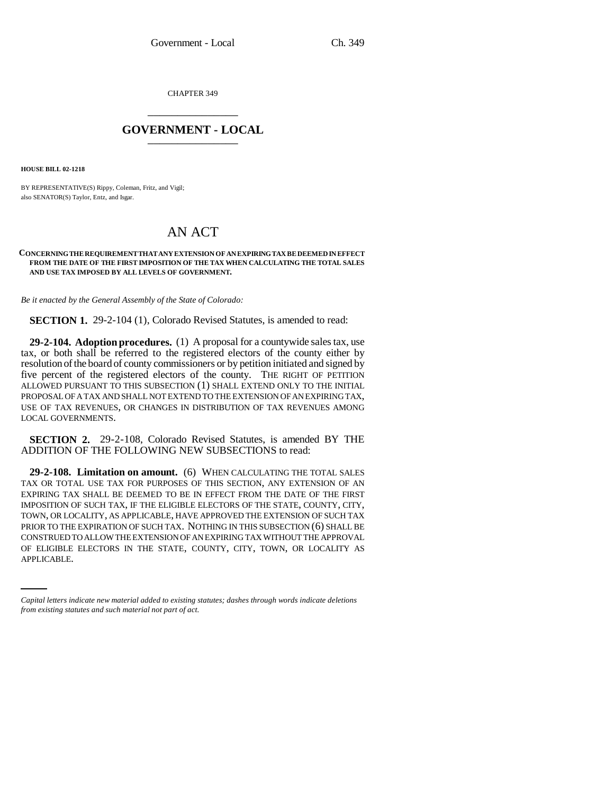CHAPTER 349 \_\_\_\_\_\_\_\_\_\_\_\_\_\_\_

## **GOVERNMENT - LOCAL** \_\_\_\_\_\_\_\_\_\_\_\_\_\_\_

**HOUSE BILL 02-1218**

BY REPRESENTATIVE(S) Rippy, Coleman, Fritz, and Vigil; also SENATOR(S) Taylor, Entz, and Isgar.

## AN ACT

## **CONCERNING THE REQUIREMENT THAT ANY EXTENSION OF AN EXPIRING TAX BE DEEMED IN EFFECT FROM THE DATE OF THE FIRST IMPOSITION OF THE TAX WHEN CALCULATING THE TOTAL SALES AND USE TAX IMPOSED BY ALL LEVELS OF GOVERNMENT.**

*Be it enacted by the General Assembly of the State of Colorado:*

**SECTION 1.** 29-2-104 (1), Colorado Revised Statutes, is amended to read:

**29-2-104. Adoption procedures.** (1) A proposal for a countywide sales tax, use tax, or both shall be referred to the registered electors of the county either by resolution of the board of county commissioners or by petition initiated and signed by five percent of the registered electors of the county. THE RIGHT OF PETITION ALLOWED PURSUANT TO THIS SUBSECTION (1) SHALL EXTEND ONLY TO THE INITIAL PROPOSAL OF A TAX AND SHALL NOT EXTEND TO THE EXTENSION OF AN EXPIRING TAX, USE OF TAX REVENUES, OR CHANGES IN DISTRIBUTION OF TAX REVENUES AMONG LOCAL GOVERNMENTS.

**SECTION 2.** 29-2-108, Colorado Revised Statutes, is amended BY THE ADDITION OF THE FOLLOWING NEW SUBSECTIONS to read:

CONSTRUED TO ALLOW THE EXTENSION OF AN EXPIRING TAX WITHOUT THE APPROVAL **29-2-108. Limitation on amount.** (6) WHEN CALCULATING THE TOTAL SALES TAX OR TOTAL USE TAX FOR PURPOSES OF THIS SECTION, ANY EXTENSION OF AN EXPIRING TAX SHALL BE DEEMED TO BE IN EFFECT FROM THE DATE OF THE FIRST IMPOSITION OF SUCH TAX, IF THE ELIGIBLE ELECTORS OF THE STATE, COUNTY, CITY, TOWN, OR LOCALITY, AS APPLICABLE, HAVE APPROVED THE EXTENSION OF SUCH TAX PRIOR TO THE EXPIRATION OF SUCH TAX. NOTHING IN THIS SUBSECTION (6) SHALL BE OF ELIGIBLE ELECTORS IN THE STATE, COUNTY, CITY, TOWN, OR LOCALITY AS APPLICABLE.

*Capital letters indicate new material added to existing statutes; dashes through words indicate deletions from existing statutes and such material not part of act.*